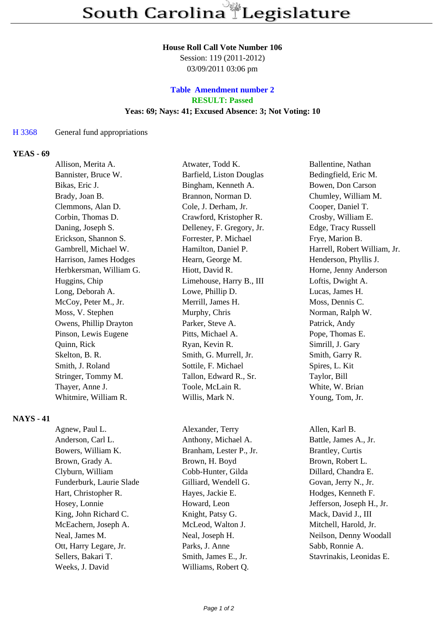#### **House Roll Call Vote Number 106**

Session: 119 (2011-2012) 03/09/2011 03:06 pm

### **Table Amendment number 2 RESULT: Passed Yeas: 69; Nays: 41; Excused Absence: 3; Not Voting: 10**

#### H 3368 General fund appropriations

#### **YEAS - 69**

| Allison, Merita A.      | Atwater, Todd K.          | Ballentine, Nathan           |
|-------------------------|---------------------------|------------------------------|
| Bannister, Bruce W.     | Barfield, Liston Douglas  | Bedingfield, Eric M.         |
| Bikas, Eric J.          | Bingham, Kenneth A.       | Bowen, Don Carson            |
| Brady, Joan B.          | Brannon, Norman D.        | Chumley, William M.          |
| Clemmons, Alan D.       | Cole, J. Derham, Jr.      | Cooper, Daniel T.            |
| Corbin, Thomas D.       | Crawford, Kristopher R.   | Crosby, William E.           |
| Daning, Joseph S.       | Delleney, F. Gregory, Jr. | Edge, Tracy Russell          |
| Erickson, Shannon S.    | Forrester, P. Michael     | Frye, Marion B.              |
| Gambrell, Michael W.    | Hamilton, Daniel P.       | Harrell, Robert William, Jr. |
| Harrison, James Hodges  | Hearn, George M.          | Henderson, Phyllis J.        |
| Herbkersman, William G. | Hiott, David R.           | Horne, Jenny Anderson        |
| Huggins, Chip           | Limehouse, Harry B., III  | Loftis, Dwight A.            |
| Long, Deborah A.        | Lowe, Phillip D.          | Lucas, James H.              |
| McCoy, Peter M., Jr.    | Merrill, James H.         | Moss, Dennis C.              |
| Moss, V. Stephen        | Murphy, Chris             | Norman, Ralph W.             |
| Owens, Phillip Drayton  | Parker, Steve A.          | Patrick, Andy                |
| Pinson, Lewis Eugene    | Pitts, Michael A.         | Pope, Thomas E.              |
| Quinn, Rick             | Ryan, Kevin R.            | Simrill, J. Gary             |
| Skelton, B. R.          | Smith, G. Murrell, Jr.    | Smith, Garry R.              |
| Smith, J. Roland        | Sottile, F. Michael       | Spires, L. Kit               |
| Stringer, Tommy M.      | Tallon, Edward R., Sr.    | Taylor, Bill                 |
| Thayer, Anne J.         | Toole, McLain R.          | White, W. Brian              |
| Whitmire, William R.    | Willis, Mark N.           | Young, Tom, Jr.              |
|                         |                           |                              |

### **NAYS - 41**

| Agnew, Paul L.           |  |  |
|--------------------------|--|--|
| Anderson, Carl L.        |  |  |
| Bowers, William K.       |  |  |
| Brown, Grady A.          |  |  |
| Clyburn, William         |  |  |
| Funderburk, Laurie Slade |  |  |
| Hart, Christopher R.     |  |  |
| Hosey, Lonnie            |  |  |
| King, John Richard C.    |  |  |
| McEachern, Joseph A.     |  |  |
| Neal, James M.           |  |  |
| Ott, Harry Legare, Jr.   |  |  |
| Sellers, Bakari T.       |  |  |
| Weeks, J. David          |  |  |

Alexander, Terry Allen, Karl B. Anthony, Michael A. Battle, James A., Jr. Branham, Lester P., Jr. Brantley, Curtis Brown, H. Boyd Brown, Robert L. Cobb-Hunter, Gilda Dillard, Chandra E. Gilliard, Wendell G. Govan, Jerry N., Jr. Hayes, Jackie E. Hodges, Kenneth F. Howard, Leon Jefferson, Joseph H., Jr. Knight, Patsy G. Mack, David J., III McLeod, Walton J. Mitchell, Harold, Jr. Neal, Joseph H. Neilson, Denny Woodall Parks, J. Anne Sabb, Ronnie A. Smith, James E., Jr. Stavrinakis, Leonidas E. Williams, Robert Q.